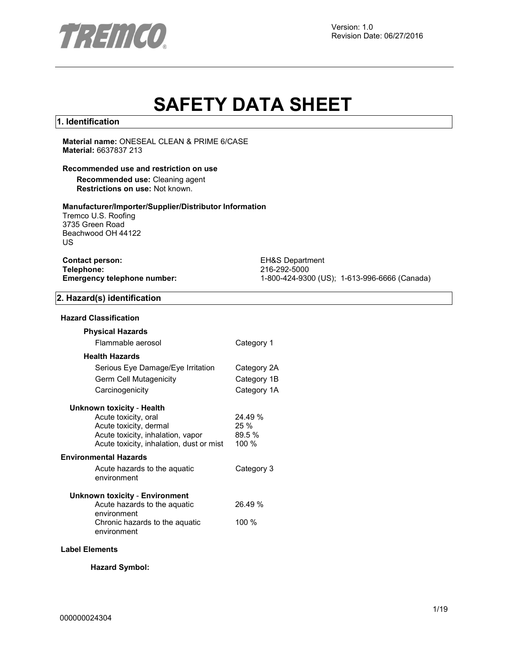

Version: 1.0 Revision Date: 06/27/2016

# **SAFETY DATA SHEET**

## **1. Identification**

**Material name:** ONESEAL CLEAN & PRIME 6/CASE **Material:** 6637837 213

#### **Recommended use and restriction on use**

**Recommended use:** Cleaning agent **Restrictions on use:** Not known.

#### **Manufacturer/Importer/Supplier/Distributor Information**

Tremco U.S. Roofing 3735 Green Road Beachwood OH 44122 US

| <b>Contact person:</b>             |  |
|------------------------------------|--|
| Telephone:                         |  |
| <b>Emergency telephone number:</b> |  |

**EH&S Department Telephone:** 216-292-5000 **Emergency telephone number:** 1-800-424-9300 (US); 1-613-996-6666 (Canada)

# **2. Hazard(s) identification**

#### **Hazard Classification**

| <b>Physical Hazards</b>                                                       |                 |
|-------------------------------------------------------------------------------|-----------------|
| Flammable aerosol                                                             | Category 1      |
| <b>Health Hazards</b>                                                         |                 |
| Serious Eye Damage/Eye Irritation                                             | Category 2A     |
| Germ Cell Mutagenicity                                                        | Category 1B     |
| Carcinogenicity                                                               | Category 1A     |
| Unknown toxicity - Health                                                     |                 |
| Acute toxicity, oral                                                          | 24.49%          |
| Acute toxicity, dermal                                                        | $25 \%$         |
| Acute toxicity, inhalation, vapor<br>Acute toxicity, inhalation, dust or mist | 89.5 %<br>100 % |
|                                                                               |                 |
| Environmental Hazards                                                         |                 |
| Acute hazards to the aquatic<br>environment                                   | Category 3      |
| Unknown toxicity - Environment                                                |                 |
| Acute hazards to the aquatic<br>environment                                   | 26.49 %         |
| Chronic hazards to the aquatic<br>environment                                 | 100 $%$         |
|                                                                               |                 |

#### **Label Elements**

**Hazard Symbol:**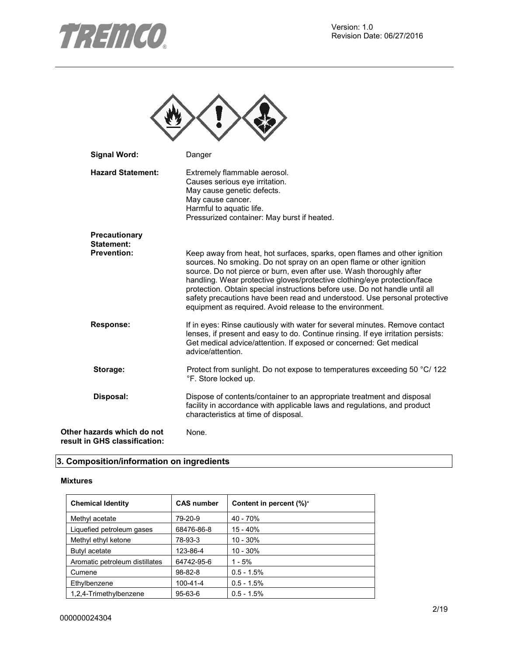



| <b>Signal Word:</b>                                         | Danger                                                                                                                                                                                                                                                                                                                                                                                                                                                                                                                        |
|-------------------------------------------------------------|-------------------------------------------------------------------------------------------------------------------------------------------------------------------------------------------------------------------------------------------------------------------------------------------------------------------------------------------------------------------------------------------------------------------------------------------------------------------------------------------------------------------------------|
| <b>Hazard Statement:</b>                                    | Extremely flammable aerosol.<br>Causes serious eye irritation.<br>May cause genetic defects.<br>May cause cancer.<br>Harmful to aquatic life.<br>Pressurized container: May burst if heated.                                                                                                                                                                                                                                                                                                                                  |
| Precautionary<br>Statement:                                 |                                                                                                                                                                                                                                                                                                                                                                                                                                                                                                                               |
| <b>Prevention:</b>                                          | Keep away from heat, hot surfaces, sparks, open flames and other ignition<br>sources. No smoking. Do not spray on an open flame or other ignition<br>source. Do not pierce or burn, even after use. Wash thoroughly after<br>handling. Wear protective gloves/protective clothing/eye protection/face<br>protection. Obtain special instructions before use. Do not handle until all<br>safety precautions have been read and understood. Use personal protective<br>equipment as required. Avoid release to the environment. |
| <b>Response:</b>                                            | If in eyes: Rinse cautiously with water for several minutes. Remove contact<br>lenses, if present and easy to do. Continue rinsing. If eye irritation persists:<br>Get medical advice/attention. If exposed or concerned: Get medical<br>advice/attention.                                                                                                                                                                                                                                                                    |
| Storage:                                                    | Protect from sunlight. Do not expose to temperatures exceeding 50 °C/ 122<br>°F. Store locked up.                                                                                                                                                                                                                                                                                                                                                                                                                             |
| Disposal:                                                   | Dispose of contents/container to an appropriate treatment and disposal<br>facility in accordance with applicable laws and regulations, and product<br>characteristics at time of disposal.                                                                                                                                                                                                                                                                                                                                    |
| Other hazards which do not<br>result in GHS classification: | None.                                                                                                                                                                                                                                                                                                                                                                                                                                                                                                                         |

# **3. Composition/information on ingredients**

#### **Mixtures**

| <b>Chemical Identity</b>       | <b>CAS number</b> | Content in percent (%)* |
|--------------------------------|-------------------|-------------------------|
| Methyl acetate                 | 79-20-9           | 40 - 70%                |
| Liquefied petroleum gases      | 68476-86-8        | 15 - 40%                |
| Methyl ethyl ketone            | 78-93-3           | $10 - 30%$              |
| Butyl acetate                  | 123-86-4          | $10 - 30%$              |
| Aromatic petroleum distillates | 64742-95-6        | $1 - 5%$                |
| Cumene                         | $98 - 82 - 8$     | $0.5 - 1.5%$            |
| Ethylbenzene                   | $100 - 41 - 4$    | $0.5 - 1.5%$            |
| 1,2,4-Trimethylbenzene         | $95 - 63 - 6$     | $0.5 - 1.5%$            |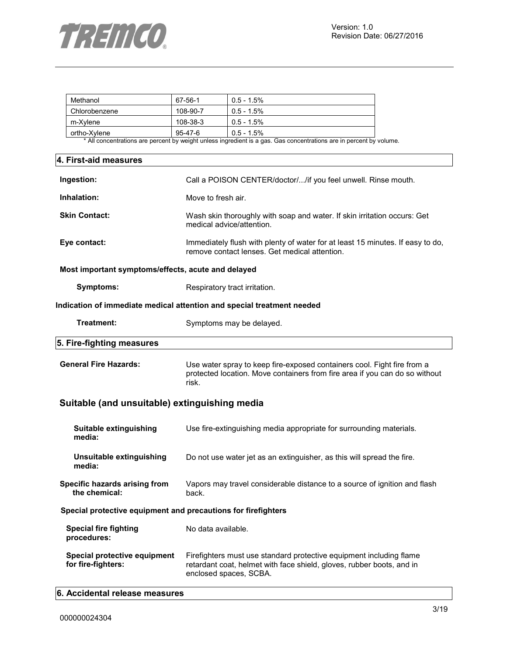

| Methanol      | 67-56-1  | $0.5 - 1.5\%$ |
|---------------|----------|---------------|
| Chlorobenzene | 108-90-7 | $0.5 - 1.5\%$ |
| m-Xvlene      | 108-38-3 | $0.5 - 1.5\%$ |
| ortho-Xvlene  | 95-47-6  | $0.5 - 1.5\%$ |

\* All concentrations are percent by weight unless ingredient is a gas. Gas concentrations are in percent by volume.

| 4. First-aid measures                              |                                                                                                                                                                 |  |  |
|----------------------------------------------------|-----------------------------------------------------------------------------------------------------------------------------------------------------------------|--|--|
| Ingestion:                                         | Call a POISON CENTER/doctor//if you feel unwell. Rinse mouth.                                                                                                   |  |  |
| Inhalation:                                        | Move to fresh air.                                                                                                                                              |  |  |
| <b>Skin Contact:</b>                               | Wash skin thoroughly with soap and water. If skin irritation occurs: Get<br>medical advice/attention.                                                           |  |  |
| Eye contact:                                       | Immediately flush with plenty of water for at least 15 minutes. If easy to do,<br>remove contact lenses. Get medical attention.                                 |  |  |
| Most important symptoms/effects, acute and delayed |                                                                                                                                                                 |  |  |
| <b>Symptoms:</b>                                   | Respiratory tract irritation.                                                                                                                                   |  |  |
|                                                    | Indication of immediate medical attention and special treatment needed                                                                                          |  |  |
| Treatment:                                         | Symptoms may be delayed.                                                                                                                                        |  |  |
| 5. Fire-fighting measures                          |                                                                                                                                                                 |  |  |
| <b>General Fire Hazards:</b>                       | Use water spray to keep fire-exposed containers cool. Fight fire from a<br>protected location. Move containers from fire area if you can do so without<br>risk. |  |  |
| Suitable (and unsuitable) extinguishing media      |                                                                                                                                                                 |  |  |
| Suitable extinguishing<br>media:                   | Use fire-extinguishing media appropriate for surrounding materials.                                                                                             |  |  |

| Unsuitable extinguishing | Do not use water jet as an extinguisher, as this will spread the fire. |
|--------------------------|------------------------------------------------------------------------|
| media:                   |                                                                        |

| <b>Specific hazards arising from</b> | Vapors may travel considerable distance to a source of ignition and flash |
|--------------------------------------|---------------------------------------------------------------------------|
| the chemical:                        | back.                                                                     |

**Special protective equipment and precautions for firefighters** 

| Special fire fighting<br>procedures:               | No data available.                                                                                                                                                     |
|----------------------------------------------------|------------------------------------------------------------------------------------------------------------------------------------------------------------------------|
| Special protective equipment<br>for fire-fighters: | Firefighters must use standard protective equipment including flame<br>retardant coat, helmet with face shield, gloves, rubber boots, and in<br>enclosed spaces, SCBA. |

# **6. Accidental release measures**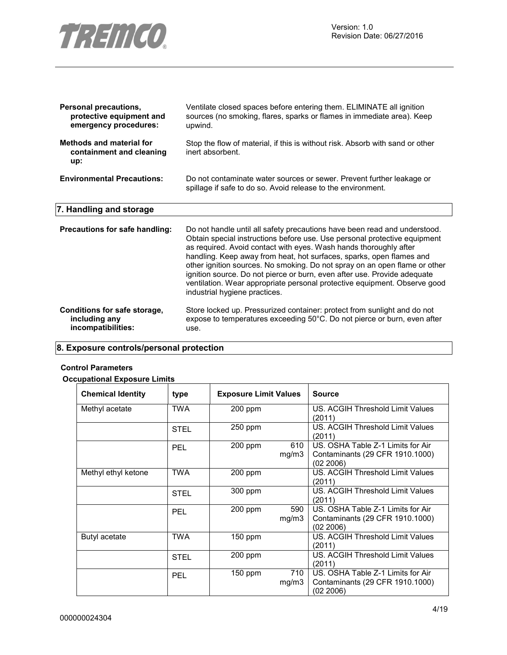

| Personal precautions,<br>protective equipment and<br>emergency procedures: | Ventilate closed spaces before entering them. ELIMINATE all ignition<br>sources (no smoking, flares, sparks or flames in immediate area). Keep<br>upwind.                                                                                                                                                                                                                                                                                                                                                                                                                   |
|----------------------------------------------------------------------------|-----------------------------------------------------------------------------------------------------------------------------------------------------------------------------------------------------------------------------------------------------------------------------------------------------------------------------------------------------------------------------------------------------------------------------------------------------------------------------------------------------------------------------------------------------------------------------|
| Methods and material for<br>containment and cleaning<br>up:                | Stop the flow of material, if this is without risk. Absorb with sand or other<br>inert absorbent.                                                                                                                                                                                                                                                                                                                                                                                                                                                                           |
| <b>Environmental Precautions:</b>                                          | Do not contaminate water sources or sewer. Prevent further leakage or<br>spillage if safe to do so. Avoid release to the environment.                                                                                                                                                                                                                                                                                                                                                                                                                                       |
| 7. Handling and storage                                                    |                                                                                                                                                                                                                                                                                                                                                                                                                                                                                                                                                                             |
| Precautions for safe handling:                                             | Do not handle until all safety precautions have been read and understood.<br>Obtain special instructions before use. Use personal protective equipment<br>as required. Avoid contact with eyes. Wash hands thoroughly after<br>handling. Keep away from heat, hot surfaces, sparks, open flames and<br>other ignition sources. No smoking. Do not spray on an open flame or other<br>ignition source. Do not pierce or burn, even after use. Provide adequate<br>ventilation. Wear appropriate personal protective equipment. Observe good<br>industrial hygiene practices. |
| Conditions for safe storage,<br>including any<br>incompatibilities:        | Store locked up. Pressurized container: protect from sunlight and do not<br>expose to temperatures exceeding 50°C. Do not pierce or burn, even after<br>use.                                                                                                                                                                                                                                                                                                                                                                                                                |

# **8. Exposure controls/personal protection**

## **Control Parameters**

# **Occupational Exposure Limits**

| <b>Chemical Identity</b> | type        | <b>Exposure Limit Values</b> |              | <b>Source</b>                                                                     |
|--------------------------|-------------|------------------------------|--------------|-----------------------------------------------------------------------------------|
| Methyl acetate           | TWA         | 200 ppm                      |              | US. ACGIH Threshold Limit Values<br>(2011)                                        |
|                          | <b>STEL</b> | 250 ppm                      |              | US. ACGIH Threshold Limit Values<br>(2011)                                        |
|                          | <b>PEL</b>  | $200$ ppm                    | 610<br>mg/m3 | US. OSHA Table Z-1 Limits for Air<br>Contaminants (29 CFR 1910.1000)<br>(02 2006) |
| Methyl ethyl ketone      | <b>TWA</b>  | 200 ppm                      |              | US. ACGIH Threshold Limit Values<br>(2011)                                        |
|                          | <b>STEL</b> | 300 ppm                      |              | US. ACGIH Threshold Limit Values<br>(2011)                                        |
|                          | <b>PEL</b>  | 200 ppm                      | 590<br>mg/m3 | US. OSHA Table Z-1 Limits for Air<br>Contaminants (29 CFR 1910.1000)<br>(02 2006) |
| Butyl acetate            | <b>TWA</b>  | $150$ ppm                    |              | US. ACGIH Threshold Limit Values<br>(2011)                                        |
|                          | <b>STEL</b> | $200$ ppm                    |              | US. ACGIH Threshold Limit Values<br>(2011)                                        |
|                          | <b>PEL</b>  | 150 ppm                      | 710<br>mg/m3 | US. OSHA Table Z-1 Limits for Air<br>Contaminants (29 CFR 1910.1000)<br>(02 2006) |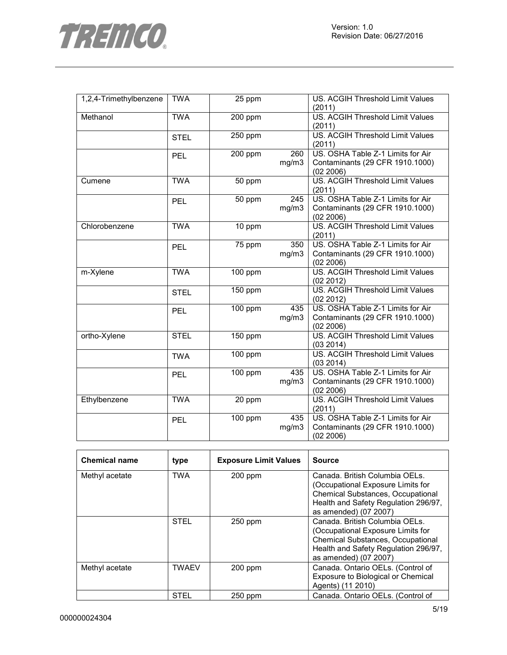

| 1,2,4-Trimethylbenzene | <b>TWA</b>  | 25 ppm               |              | US. ACGIH Threshold Limit Values<br>(2011)                                        |
|------------------------|-------------|----------------------|--------------|-----------------------------------------------------------------------------------|
| Methanol               | <b>TWA</b>  | 200 ppm              |              | US. ACGIH Threshold Limit Values<br>(2011)                                        |
|                        | <b>STEL</b> | 250 ppm              |              | <b>US. ACGIH Threshold Limit Values</b><br>(2011)                                 |
|                        | <b>PEL</b>  | 200 ppm              | 260<br>mg/m3 | US. OSHA Table Z-1 Limits for Air<br>Contaminants (29 CFR 1910.1000)<br>(02 2006) |
| Cumene                 | <b>TWA</b>  | 50 ppm               |              | <b>US. ACGIH Threshold Limit Values</b><br>(2011)                                 |
|                        | <b>PEL</b>  | 50 ppm               | 245<br>mg/m3 | US. OSHA Table Z-1 Limits for Air<br>Contaminants (29 CFR 1910.1000)<br>(02 2006) |
| Chlorobenzene          | <b>TWA</b>  | 10 ppm               |              | US. ACGIH Threshold Limit Values<br>(2011)                                        |
|                        | <b>PEL</b>  | 75 ppm               | 350<br>mg/m3 | US. OSHA Table Z-1 Limits for Air<br>Contaminants (29 CFR 1910.1000)<br>(02 2006) |
| m-Xylene               | <b>TWA</b>  | 100 ppm              |              | US. ACGIH Threshold Limit Values<br>(02 2012)                                     |
|                        | <b>STEL</b> | 150 ppm              |              | US. ACGIH Threshold Limit Values<br>(02 2012)                                     |
|                        | <b>PEL</b>  | 100 ppm              | 435<br>mg/m3 | US. OSHA Table Z-1 Limits for Air<br>Contaminants (29 CFR 1910.1000)<br>(02 2006) |
| ortho-Xylene           | <b>STEL</b> | 150 ppm              |              | <b>US. ACGIH Threshold Limit Values</b><br>(03 2014)                              |
|                        | <b>TWA</b>  | 100 ppm              |              | US. ACGIH Threshold Limit Values<br>(03 2014)                                     |
|                        | <b>PEL</b>  | 100 ppm              | 435<br>mg/m3 | US. OSHA Table Z-1 Limits for Air<br>Contaminants (29 CFR 1910.1000)<br>(02 2006) |
| Ethylbenzene           | <b>TWA</b>  | 20 ppm               |              | US. ACGIH Threshold Limit Values<br>(2011)                                        |
|                        | PEL         | $\overline{100}$ ppm | 435<br>mg/m3 | US. OSHA Table Z-1 Limits for Air<br>Contaminants (29 CFR 1910.1000)<br>(02 2006) |

| <b>Chemical name</b> | type         | <b>Exposure Limit Values</b> | <b>Source</b>                                                                                                                                                                    |
|----------------------|--------------|------------------------------|----------------------------------------------------------------------------------------------------------------------------------------------------------------------------------|
| Methyl acetate       | <b>TWA</b>   | $200$ ppm                    | Canada. British Columbia OELs.<br>(Occupational Exposure Limits for<br><b>Chemical Substances, Occupational</b><br>Health and Safety Regulation 296/97,<br>as amended) (07 2007) |
|                      | <b>STEL</b>  | 250 ppm                      | Canada. British Columbia OELs.<br>(Occupational Exposure Limits for<br><b>Chemical Substances, Occupational</b><br>Health and Safety Regulation 296/97,<br>as amended) (07 2007) |
| Methyl acetate       | <b>TWAEV</b> | $200$ ppm                    | Canada. Ontario OELs. (Control of<br>Exposure to Biological or Chemical<br>Agents) (11 2010)                                                                                     |
|                      | <b>STEL</b>  | $250$ ppm                    | Canada. Ontario OELs. (Control of                                                                                                                                                |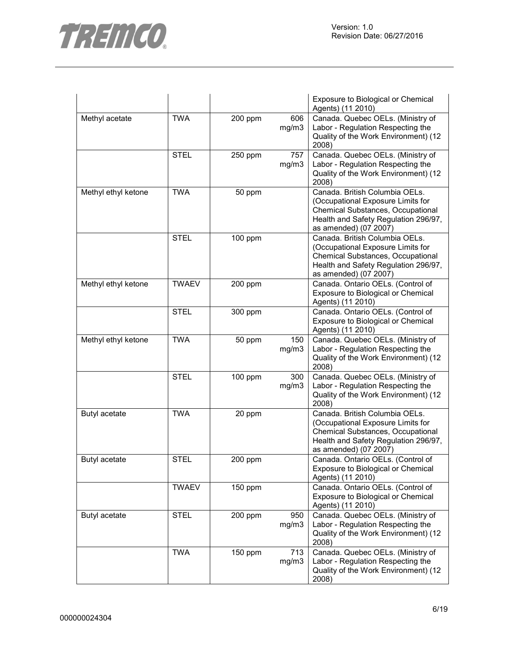



|                     |              |         |              | Exposure to Biological or Chemical<br>Agents) (11 2010)                                                                                                                   |
|---------------------|--------------|---------|--------------|---------------------------------------------------------------------------------------------------------------------------------------------------------------------------|
| Methyl acetate      | <b>TWA</b>   | 200 ppm | 606<br>mg/m3 | Canada. Quebec OELs. (Ministry of<br>Labor - Regulation Respecting the<br>Quality of the Work Environment) (12<br>2008)                                                   |
|                     | <b>STEL</b>  | 250 ppm | 757<br>mg/m3 | Canada. Quebec OELs. (Ministry of<br>Labor - Regulation Respecting the<br>Quality of the Work Environment) (12<br>2008)                                                   |
| Methyl ethyl ketone | <b>TWA</b>   | 50 ppm  |              | Canada. British Columbia OELs.<br>(Occupational Exposure Limits for<br>Chemical Substances, Occupational<br>Health and Safety Regulation 296/97,<br>as amended) (07 2007) |
|                     | <b>STEL</b>  | 100 ppm |              | Canada. British Columbia OELs.<br>(Occupational Exposure Limits for<br>Chemical Substances, Occupational<br>Health and Safety Regulation 296/97,<br>as amended) (07 2007) |
| Methyl ethyl ketone | <b>TWAEV</b> | 200 ppm |              | Canada. Ontario OELs. (Control of<br>Exposure to Biological or Chemical<br>Agents) (11 2010)                                                                              |
|                     | <b>STEL</b>  | 300 ppm |              | Canada. Ontario OELs. (Control of<br>Exposure to Biological or Chemical<br>Agents) (11 2010)                                                                              |
| Methyl ethyl ketone | <b>TWA</b>   | 50 ppm  | 150<br>mg/m3 | Canada. Quebec OELs. (Ministry of<br>Labor - Regulation Respecting the<br>Quality of the Work Environment) (12<br>2008)                                                   |
|                     | <b>STEL</b>  | 100 ppm | 300<br>mg/m3 | Canada. Quebec OELs. (Ministry of<br>Labor - Regulation Respecting the<br>Quality of the Work Environment) (12<br>2008)                                                   |
| Butyl acetate       | <b>TWA</b>   | 20 ppm  |              | Canada. British Columbia OELs.<br>(Occupational Exposure Limits for<br>Chemical Substances, Occupational<br>Health and Safety Regulation 296/97,<br>as amended) (07 2007) |
| Butyl acetate       | <b>STEL</b>  | 200 ppm |              | Canada. Ontario OELs. (Control of<br>Exposure to Biological or Chemical<br>Agents) (11 2010)                                                                              |
|                     | <b>TWAEV</b> | 150 ppm |              | Canada. Ontario OELs. (Control of<br>Exposure to Biological or Chemical<br>Agents) (11 2010)                                                                              |
| Butyl acetate       | <b>STEL</b>  | 200 ppm | 950<br>mg/m3 | Canada. Quebec OELs. (Ministry of<br>Labor - Regulation Respecting the<br>Quality of the Work Environment) (12<br>2008)                                                   |
|                     | <b>TWA</b>   | 150 ppm | 713<br>mg/m3 | Canada. Quebec OELs. (Ministry of<br>Labor - Regulation Respecting the<br>Quality of the Work Environment) (12<br>2008)                                                   |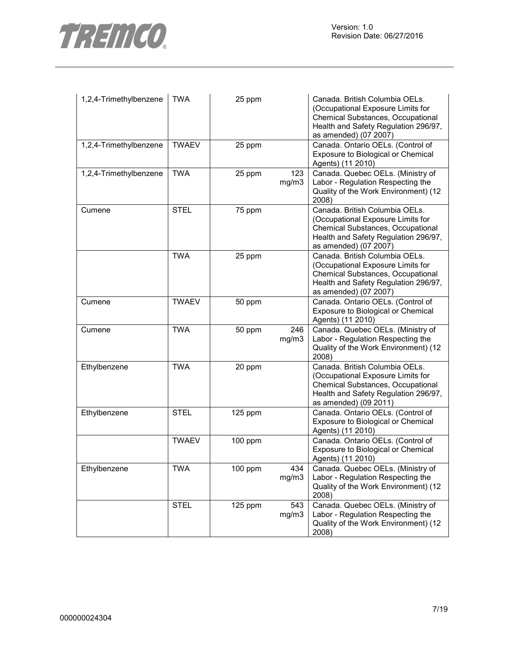

| 1,2,4-Trimethylbenzene | <b>TWA</b>   | 25 ppm    |              | Canada. British Columbia OELs.<br>(Occupational Exposure Limits for<br>Chemical Substances, Occupational<br>Health and Safety Regulation 296/97,<br>as amended) (07 2007) |
|------------------------|--------------|-----------|--------------|---------------------------------------------------------------------------------------------------------------------------------------------------------------------------|
| 1,2,4-Trimethylbenzene | <b>TWAEV</b> | 25 ppm    |              | Canada. Ontario OELs. (Control of<br>Exposure to Biological or Chemical<br>Agents) (11 2010)                                                                              |
| 1,2,4-Trimethylbenzene | <b>TWA</b>   | 25 ppm    | 123<br>mg/m3 | Canada. Quebec OELs. (Ministry of<br>Labor - Regulation Respecting the<br>Quality of the Work Environment) (12<br>2008)                                                   |
| Cumene                 | <b>STEL</b>  | 75 ppm    |              | Canada. British Columbia OELs.<br>(Occupational Exposure Limits for<br>Chemical Substances, Occupational<br>Health and Safety Regulation 296/97,<br>as amended) (07 2007) |
|                        | <b>TWA</b>   | 25 ppm    |              | Canada. British Columbia OELs.<br>(Occupational Exposure Limits for<br>Chemical Substances, Occupational<br>Health and Safety Regulation 296/97,<br>as amended) (07 2007) |
| Cumene                 | <b>TWAEV</b> | 50 ppm    |              | Canada. Ontario OELs. (Control of<br>Exposure to Biological or Chemical<br>Agents) (11 2010)                                                                              |
| Cumene                 | <b>TWA</b>   | 50 ppm    | 246<br>mg/m3 | Canada. Quebec OELs. (Ministry of<br>Labor - Regulation Respecting the<br>Quality of the Work Environment) (12<br>2008)                                                   |
| Ethylbenzene           | <b>TWA</b>   | 20 ppm    |              | Canada. British Columbia OELs.<br>(Occupational Exposure Limits for<br>Chemical Substances, Occupational<br>Health and Safety Regulation 296/97,<br>as amended) (09 2011) |
| Ethylbenzene           | <b>STEL</b>  | 125 ppm   |              | Canada. Ontario OELs. (Control of<br>Exposure to Biological or Chemical<br>Agents) (11 2010)                                                                              |
|                        | <b>TWAEV</b> | 100 ppm   |              | Canada. Ontario OELs. (Control of<br>Exposure to Biological or Chemical<br>Agents) (11 2010)                                                                              |
| Ethylbenzene           | <b>TWA</b>   | $100$ ppm | 434<br>mg/m3 | Canada. Quebec OELs. (Ministry of<br>Labor - Regulation Respecting the<br>Quality of the Work Environment) (12<br>2008)                                                   |
|                        | <b>STEL</b>  | 125 ppm   | 543<br>mg/m3 | Canada. Quebec OELs. (Ministry of<br>Labor - Regulation Respecting the<br>Quality of the Work Environment) (12<br>2008)                                                   |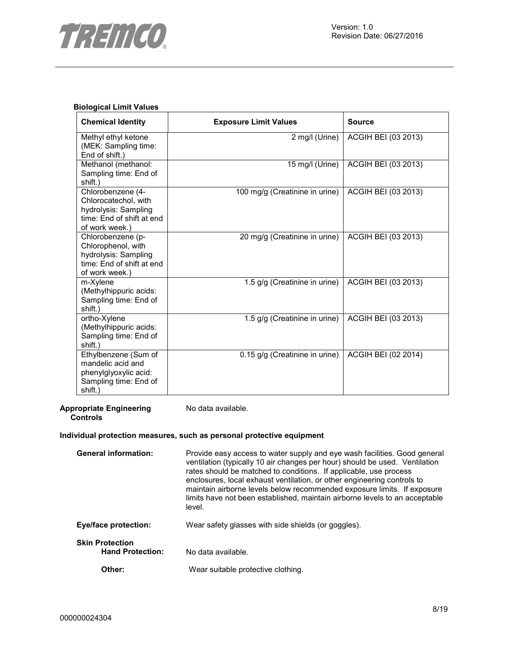

## **Biological Limit Values**

| <b>Chemical Identity</b>                                                                                         | <b>Exposure Limit Values</b>   | <b>Source</b>       |
|------------------------------------------------------------------------------------------------------------------|--------------------------------|---------------------|
| Methyl ethyl ketone<br>(MEK: Sampling time:<br>End of shift.)                                                    | 2 mg/l (Urine)                 | ACGIH BEI (03 2013) |
| Methanol (methanol:<br>Sampling time: End of<br>shift.)                                                          | 15 mg/l (Urine)                | ACGIH BEI (03 2013) |
| Chlorobenzene (4-<br>Chlorocatechol, with<br>hydrolysis: Sampling<br>time: End of shift at end<br>of work week.) | 100 mg/g (Creatinine in urine) | ACGIH BEI (03 2013) |
| Chlorobenzene (p-<br>Chlorophenol, with<br>hydrolysis: Sampling<br>time: End of shift at end<br>of work week.)   | 20 mg/g (Creatinine in urine)  | ACGIH BEI (03 2013) |
| m-Xylene<br>(Methylhippuric acids:<br>Sampling time: End of<br>shift.)                                           | 1.5 g/g (Creatinine in urine)  | ACGIH BEI (03 2013) |
| ortho-Xylene<br>(Methylhippuric acids:<br>Sampling time: End of<br>shift.)                                       | 1.5 g/g (Creatinine in urine)  | ACGIH BEI (03 2013) |
| Ethylbenzene (Sum of<br>mandelic acid and<br>phenylglyoxylic acid:<br>Sampling time: End of<br>shift.)           | 0.15 g/g (Creatinine in urine) | ACGIH BEI (02 2014) |

**Appropriate Engineering Controls**  No data available.

#### **Individual protection measures, such as personal protective equipment**

| <b>General information:</b>                       | Provide easy access to water supply and eye wash facilities. Good general<br>ventilation (typically 10 air changes per hour) should be used. Ventilation<br>rates should be matched to conditions. If applicable, use process<br>enclosures, local exhaust ventilation, or other engineering controls to<br>maintain airborne levels below recommended exposure limits. If exposure<br>limits have not been established, maintain airborne levels to an acceptable<br>level. |
|---------------------------------------------------|------------------------------------------------------------------------------------------------------------------------------------------------------------------------------------------------------------------------------------------------------------------------------------------------------------------------------------------------------------------------------------------------------------------------------------------------------------------------------|
| Eye/face protection:                              | Wear safety glasses with side shields (or goggles).                                                                                                                                                                                                                                                                                                                                                                                                                          |
| <b>Skin Protection</b><br><b>Hand Protection:</b> | No data available.                                                                                                                                                                                                                                                                                                                                                                                                                                                           |
| Other:                                            | Wear suitable protective clothing.                                                                                                                                                                                                                                                                                                                                                                                                                                           |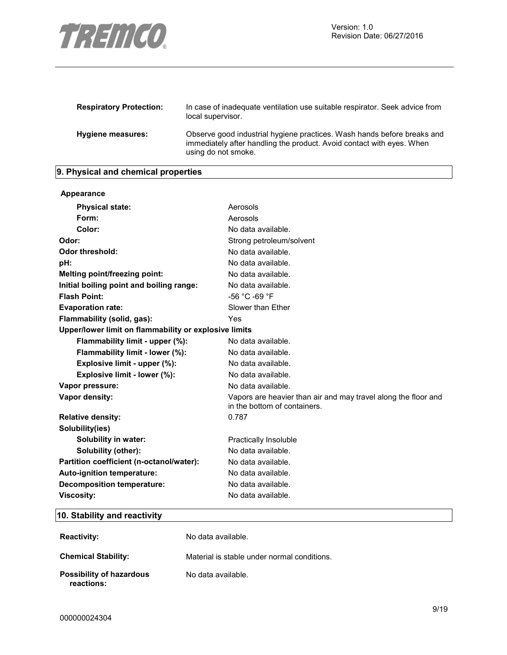

| <b>Respiratory Protection:</b> | In case of inadequate ventilation use suitable respirator. Seek advice from<br>local supervisor.                                                                        |
|--------------------------------|-------------------------------------------------------------------------------------------------------------------------------------------------------------------------|
| Hygiene measures:              | Observe good industrial hygiene practices. Wash hands before breaks and<br>immediately after handling the product. Avoid contact with eyes. When<br>using do not smoke. |

# **9. Physical and chemical properties**

| Appearance                                            |                                                                                                |
|-------------------------------------------------------|------------------------------------------------------------------------------------------------|
| <b>Physical state:</b>                                | Aerosols                                                                                       |
| Form:                                                 | Aerosols                                                                                       |
| Color:                                                | No data available.                                                                             |
| Odor:                                                 | Strong petroleum/solvent                                                                       |
| Odor threshold:                                       | No data available.                                                                             |
| pH:                                                   | No data available.                                                                             |
| Melting point/freezing point:                         | No data available.                                                                             |
| Initial boiling point and boiling range:              | No data available.                                                                             |
| <b>Flash Point:</b>                                   | -56 °C -69 °F                                                                                  |
| <b>Evaporation rate:</b>                              | Slower than Ether                                                                              |
| Flammability (solid, gas):                            | Yes                                                                                            |
| Upper/lower limit on flammability or explosive limits |                                                                                                |
| Flammability limit - upper (%):                       | No data available.                                                                             |
| Flammability limit - lower (%):                       | No data available.                                                                             |
| Explosive limit - upper (%):                          | No data available.                                                                             |
| Explosive limit - lower (%):                          | No data available.                                                                             |
| Vapor pressure:                                       | No data available.                                                                             |
| Vapor density:                                        | Vapors are heavier than air and may travel along the floor and<br>in the bottom of containers. |
| <b>Relative density:</b>                              | 0.787                                                                                          |
| Solubility(ies)                                       |                                                                                                |
| Solubility in water:                                  | Practically Insoluble                                                                          |
| Solubility (other):                                   | No data available.                                                                             |
| Partition coefficient (n-octanol/water):              | No data available.                                                                             |
| Auto-ignition temperature:                            | No data available.                                                                             |
| <b>Decomposition temperature:</b>                     | No data available.                                                                             |
| <b>Viscosity:</b>                                     | No data available.                                                                             |

# **10. Stability and reactivity**

| <b>Reactivity:</b>                     | No data available.                          |
|----------------------------------------|---------------------------------------------|
| <b>Chemical Stability:</b>             | Material is stable under normal conditions. |
| Possibility of hazardous<br>reactions: | No data available.                          |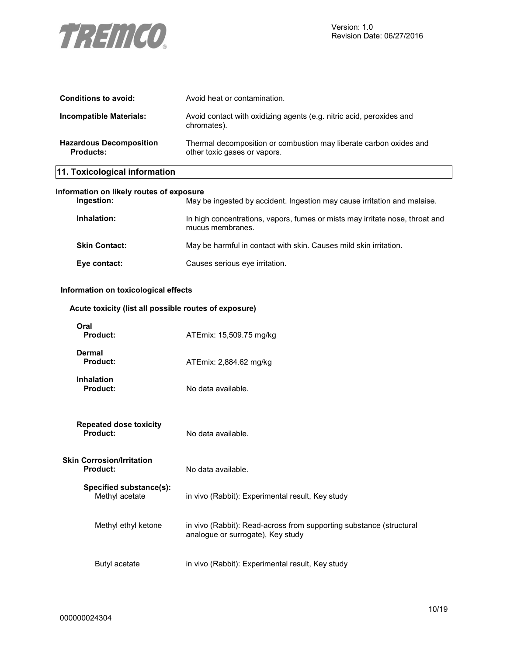

| 11. Toxicological information               |                                                                                                    |
|---------------------------------------------|----------------------------------------------------------------------------------------------------|
| <b>Hazardous Decomposition</b><br>Products: | Thermal decomposition or combustion may liberate carbon oxides and<br>other toxic gases or vapors. |
| Incompatible Materials:                     | Avoid contact with oxidizing agents (e.g. nitric acid, peroxides and<br>chromates).                |
| Conditions to avoid:                        | Avoid heat or contamination.                                                                       |

# **Information on likely routes of exposure**

| Ingestion:           | May be ingested by accident. Ingestion may cause irritation and malaise.                         |
|----------------------|--------------------------------------------------------------------------------------------------|
| Inhalation:          | In high concentrations, vapors, fumes or mists may irritate nose, throat and<br>mucus membranes. |
| <b>Skin Contact:</b> | May be harmful in contact with skin. Causes mild skin irritation.                                |
| Eye contact:         | Causes serious eye irritation.                                                                   |

#### **Information on toxicological effects**

# **Acute toxicity (list all possible routes of exposure)**

| Oral<br><b>Product:</b>                             | ATEmix: 15,509.75 mg/kg                                                                                  |
|-----------------------------------------------------|----------------------------------------------------------------------------------------------------------|
| <b>Dermal</b><br>Product:                           | ATEmix: 2,884.62 mg/kg                                                                                   |
| <b>Inhalation</b><br><b>Product:</b>                | No data available.                                                                                       |
| <b>Repeated dose toxicity</b><br>Product:           | No data available.                                                                                       |
| <b>Skin Corrosion/Irritation</b><br><b>Product:</b> | No data available.                                                                                       |
| Specified substance(s):<br>Methyl acetate           | in vivo (Rabbit): Experimental result, Key study                                                         |
| Methyl ethyl ketone                                 | in vivo (Rabbit): Read-across from supporting substance (structural<br>analogue or surrogate), Key study |
| Butyl acetate                                       | in vivo (Rabbit): Experimental result, Key study                                                         |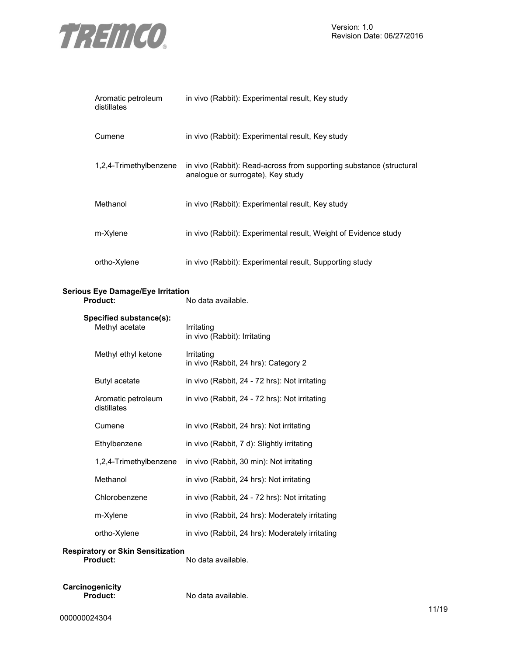

Version: 1.0 Revision Date: 06/27/2016

| Aromatic petroleum<br>distillates                    | in vivo (Rabbit): Experimental result, Key study                                                         |
|------------------------------------------------------|----------------------------------------------------------------------------------------------------------|
| Cumene                                               | in vivo (Rabbit): Experimental result, Key study                                                         |
| 1,2,4-Trimethylbenzene                               | in vivo (Rabbit): Read-across from supporting substance (structural<br>analogue or surrogate), Key study |
| Methanol                                             | in vivo (Rabbit): Experimental result, Key study                                                         |
| m-Xylene                                             | in vivo (Rabbit): Experimental result, Weight of Evidence study                                          |
| ortho-Xylene                                         | in vivo (Rabbit): Experimental result, Supporting study                                                  |
| <b>Serious Eye Damage/Eye Irritation</b><br>Product: | No data available.                                                                                       |
| Specified substance(s):<br>Methyl acetate            | Irritating<br>in vivo (Rabbit): Irritating                                                               |
| Methyl ethyl ketone                                  | Irritating<br>in vivo (Rabbit, 24 hrs): Category 2                                                       |
| Butyl acetate                                        | in vivo (Rabbit, 24 - 72 hrs): Not irritating                                                            |
| Aromatic petroleum<br>distillates                    | in vivo (Rabbit, 24 - 72 hrs): Not irritating                                                            |
| Cumene                                               | in vivo (Rabbit, 24 hrs): Not irritating                                                                 |
| Ethylbenzene                                         | in vivo (Rabbit, 7 d): Slightly irritating                                                               |
| 1,2,4-Trimethylbenzene                               | in vivo (Rabbit, 30 min): Not irritating                                                                 |
| Methanol                                             | in vivo (Rabbit, 24 hrs): Not irritating                                                                 |
| Chlorobenzene                                        | in vivo (Rabbit, 24 - 72 hrs): Not irritating                                                            |
| m-Xylene                                             | in vivo (Rabbit, 24 hrs): Moderately irritating                                                          |
| ortho-Xylene                                         | in vivo (Rabbit, 24 hrs): Moderately irritating                                                          |
| <b>Respiratory or Skin Sensitization</b><br>Product: | No data available.                                                                                       |

**Carcinogenicity** 

**Product:** No data available.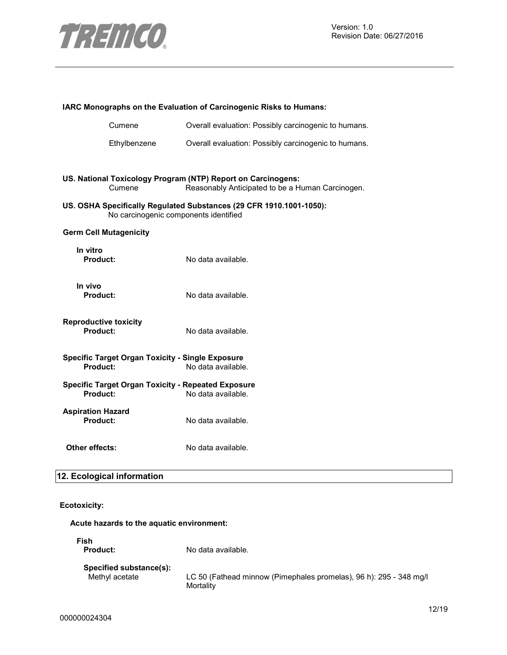

| IARC Monographs on the Evaluation of Carcinogenic Risks to Humans:                                           |                                                                                                                  |  |
|--------------------------------------------------------------------------------------------------------------|------------------------------------------------------------------------------------------------------------------|--|
| Cumene                                                                                                       | Overall evaluation: Possibly carcinogenic to humans.                                                             |  |
| Ethylbenzene                                                                                                 | Overall evaluation: Possibly carcinogenic to humans.                                                             |  |
|                                                                                                              |                                                                                                                  |  |
| Cumene                                                                                                       | US. National Toxicology Program (NTP) Report on Carcinogens:<br>Reasonably Anticipated to be a Human Carcinogen. |  |
| US. OSHA Specifically Regulated Substances (29 CFR 1910.1001-1050):<br>No carcinogenic components identified |                                                                                                                  |  |
| <b>Germ Cell Mutagenicity</b>                                                                                |                                                                                                                  |  |
| In vitro<br>Product:                                                                                         | No data available.                                                                                               |  |
| In vivo<br>Product:                                                                                          | No data available.                                                                                               |  |
| <b>Reproductive toxicity</b><br>Product:                                                                     | No data available.                                                                                               |  |
| <b>Specific Target Organ Toxicity - Single Exposure</b><br>Product:                                          | No data available.                                                                                               |  |
| <b>Specific Target Organ Toxicity - Repeated Exposure</b><br>Product:                                        | No data available.                                                                                               |  |
| <b>Aspiration Hazard</b><br><b>Product:</b>                                                                  | No data available.                                                                                               |  |
| <b>Other effects:</b>                                                                                        | No data available.                                                                                               |  |

# **12. Ecological information**

# **Ecotoxicity:**

**Acute hazards to the aquatic environment:** 

| Fish<br><b>Product:</b> | No data available.                                                 |
|-------------------------|--------------------------------------------------------------------|
| Specified substance(s): | LC 50 (Fathead minnow (Pimephales promelas), 96 h): 295 - 348 mg/l |
| Methyl acetate          | Mortality                                                          |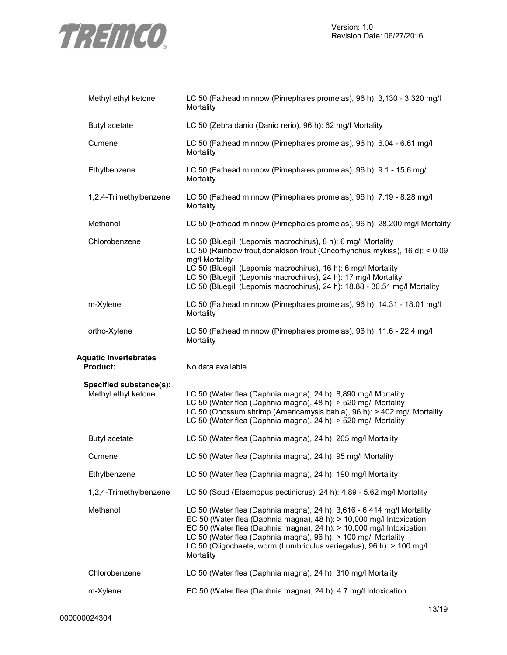

| Methyl ethyl ketone                             | LC 50 (Fathead minnow (Pimephales promelas), 96 h): 3,130 - 3,320 mg/l<br>Mortality                                                                                                                                                                                                                                                                                              |
|-------------------------------------------------|----------------------------------------------------------------------------------------------------------------------------------------------------------------------------------------------------------------------------------------------------------------------------------------------------------------------------------------------------------------------------------|
| Butyl acetate                                   | LC 50 (Zebra danio (Danio rerio), 96 h): 62 mg/l Mortality                                                                                                                                                                                                                                                                                                                       |
| Cumene                                          | LC 50 (Fathead minnow (Pimephales promelas), 96 h): 6.04 - 6.61 mg/l<br>Mortality                                                                                                                                                                                                                                                                                                |
| Ethylbenzene                                    | LC 50 (Fathead minnow (Pimephales promelas), 96 h): 9.1 - 15.6 mg/l<br>Mortality                                                                                                                                                                                                                                                                                                 |
| 1,2,4-Trimethylbenzene                          | LC 50 (Fathead minnow (Pimephales promelas), 96 h): 7.19 - 8.28 mg/l<br>Mortality                                                                                                                                                                                                                                                                                                |
| Methanol                                        | LC 50 (Fathead minnow (Pimephales promelas), 96 h): 28,200 mg/l Mortality                                                                                                                                                                                                                                                                                                        |
| Chlorobenzene                                   | LC 50 (Bluegill (Lepomis macrochirus), 8 h): 6 mg/l Mortality<br>LC 50 (Rainbow trout, donaldson trout (Oncorhynchus mykiss), 16 d): < 0.09<br>mg/l Mortality<br>LC 50 (Bluegill (Lepomis macrochirus), 16 h): 6 mg/l Mortality<br>LC 50 (Bluegill (Lepomis macrochirus), 24 h): 17 mg/l Mortality<br>LC 50 (Bluegill (Lepomis macrochirus), 24 h): 18.88 - 30.51 mg/l Mortality |
| m-Xylene                                        | LC 50 (Fathead minnow (Pimephales promelas), 96 h): 14.31 - 18.01 mg/l<br>Mortality                                                                                                                                                                                                                                                                                              |
| ortho-Xylene                                    | LC 50 (Fathead minnow (Pimephales promelas), 96 h): 11.6 - 22.4 mg/l<br>Mortality                                                                                                                                                                                                                                                                                                |
|                                                 |                                                                                                                                                                                                                                                                                                                                                                                  |
| <b>Aquatic Invertebrates</b><br><b>Product:</b> | No data available.                                                                                                                                                                                                                                                                                                                                                               |
| Specified substance(s):<br>Methyl ethyl ketone  | LC 50 (Water flea (Daphnia magna), 24 h): 8,890 mg/l Mortality<br>LC 50 (Water flea (Daphnia magna), 48 h): > 520 mg/l Mortality<br>LC 50 (Opossum shrimp (Americamysis bahia), 96 h): > 402 mg/l Mortality<br>LC 50 (Water flea (Daphnia magna), 24 h): > 520 mg/l Mortality                                                                                                    |
| Butyl acetate                                   | LC 50 (Water flea (Daphnia magna), 24 h): 205 mg/l Mortality                                                                                                                                                                                                                                                                                                                     |
| Cumene                                          | LC 50 (Water flea (Daphnia magna), 24 h): 95 mg/l Mortality                                                                                                                                                                                                                                                                                                                      |
| Ethylbenzene                                    | LC 50 (Water flea (Daphnia magna), 24 h): 190 mg/l Mortality                                                                                                                                                                                                                                                                                                                     |
| 1,2,4-Trimethylbenzene                          | LC 50 (Scud (Elasmopus pectinicrus), 24 h): 4.89 - 5.62 mg/l Mortality                                                                                                                                                                                                                                                                                                           |
| Methanol                                        | LC 50 (Water flea (Daphnia magna), 24 h): 3,616 - 6,414 mg/l Mortality<br>EC 50 (Water flea (Daphnia magna), 48 h): > 10,000 mg/l Intoxication<br>EC 50 (Water flea (Daphnia magna), 24 h): > 10,000 mg/l Intoxication<br>LC 50 (Water flea (Daphnia magna), 96 h): > 100 mg/l Mortality<br>LC 50 (Oligochaete, worm (Lumbriculus variegatus), 96 h): > 100 mg/l<br>Mortality    |
| Chlorobenzene                                   | LC 50 (Water flea (Daphnia magna), 24 h): 310 mg/l Mortality                                                                                                                                                                                                                                                                                                                     |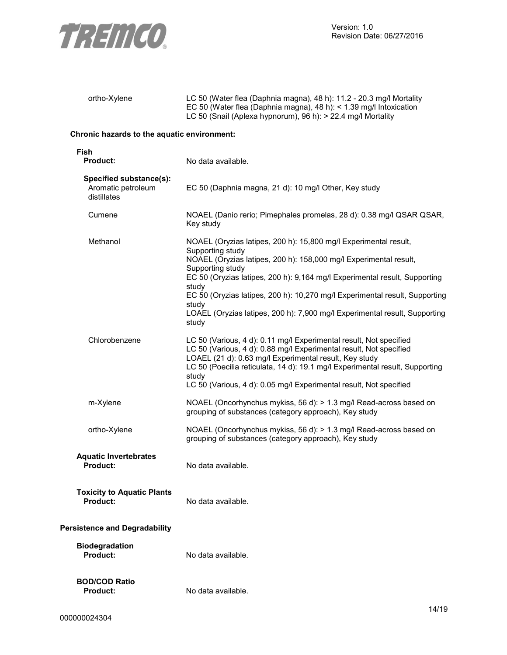

|                                                              | EC 50 (Water flea (Daphnia magna), 48 h): $<$ 1.39 mg/l Intoxication<br>LC 50 (Snail (Aplexa hypnorum), 96 h): > 22.4 mg/l Mortality                                                                                                                                                                                                                                                                                                                |
|--------------------------------------------------------------|-----------------------------------------------------------------------------------------------------------------------------------------------------------------------------------------------------------------------------------------------------------------------------------------------------------------------------------------------------------------------------------------------------------------------------------------------------|
| Chronic hazards to the aquatic environment:                  |                                                                                                                                                                                                                                                                                                                                                                                                                                                     |
| Fish<br>Product:                                             | No data available.                                                                                                                                                                                                                                                                                                                                                                                                                                  |
| Specified substance(s):<br>Aromatic petroleum<br>distillates | EC 50 (Daphnia magna, 21 d): 10 mg/l Other, Key study                                                                                                                                                                                                                                                                                                                                                                                               |
| Cumene                                                       | NOAEL (Danio rerio; Pimephales promelas, 28 d): 0.38 mg/l QSAR QSAR,<br>Key study                                                                                                                                                                                                                                                                                                                                                                   |
| Methanol                                                     | NOAEL (Oryzias latipes, 200 h): 15,800 mg/l Experimental result,<br>Supporting study<br>NOAEL (Oryzias latipes, 200 h): 158,000 mg/l Experimental result,<br>Supporting study<br>EC 50 (Oryzias latipes, 200 h): 9,164 mg/l Experimental result, Supporting<br>study<br>EC 50 (Oryzias latipes, 200 h): 10,270 mg/l Experimental result, Supporting<br>study<br>LOAEL (Oryzias latipes, 200 h): 7,900 mg/l Experimental result, Supporting<br>study |
| Chlorobenzene                                                | LC 50 (Various, 4 d): 0.11 mg/l Experimental result, Not specified<br>LC 50 (Various, 4 d): 0.88 mg/l Experimental result, Not specified<br>LOAEL (21 d): 0.63 mg/l Experimental result, Key study<br>LC 50 (Poecilia reticulata, 14 d): 19.1 mg/l Experimental result, Supporting<br>study<br>LC 50 (Various, 4 d): 0.05 mg/l Experimental result, Not specified                                                                                   |
| m-Xylene                                                     | NOAEL (Oncorhynchus mykiss, 56 d): > 1.3 mg/l Read-across based on<br>grouping of substances (category approach), Key study                                                                                                                                                                                                                                                                                                                         |
| ortho-Xylene                                                 | NOAEL (Oncorhynchus mykiss, 56 d): > 1.3 mg/l Read-across based on<br>grouping of substances (category approach), Key study                                                                                                                                                                                                                                                                                                                         |
| <b>Aquatic Invertebrates</b><br>Product:                     | No data available.                                                                                                                                                                                                                                                                                                                                                                                                                                  |
| <b>Toxicity to Aquatic Plants</b><br><b>Product:</b>         | No data available.                                                                                                                                                                                                                                                                                                                                                                                                                                  |
| <b>Persistence and Degradability</b>                         |                                                                                                                                                                                                                                                                                                                                                                                                                                                     |
| <b>Biodegradation</b><br>Product:                            | No data available.                                                                                                                                                                                                                                                                                                                                                                                                                                  |

No data available.

ortho-Xylene LC 50 (Water flea (Daphnia magna), 48 h): 11.2 - 20.3 mg/l Mortality

**BOD/COD Ratio**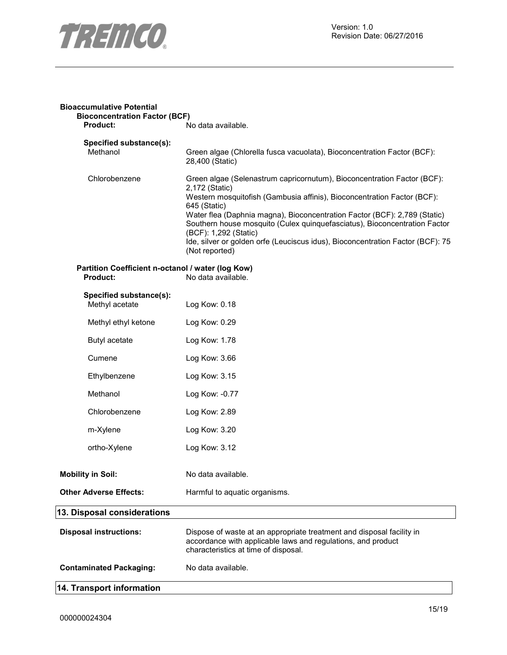

| <b>Bioaccumulative Potential</b><br><b>Bioconcentration Factor (BCF)</b> |                                                                                                                                                                                                                                                                                                                                                                                                                                                                             |
|--------------------------------------------------------------------------|-----------------------------------------------------------------------------------------------------------------------------------------------------------------------------------------------------------------------------------------------------------------------------------------------------------------------------------------------------------------------------------------------------------------------------------------------------------------------------|
| Product:                                                                 | No data available.                                                                                                                                                                                                                                                                                                                                                                                                                                                          |
| Specified substance(s):<br>Methanol                                      | Green algae (Chlorella fusca vacuolata), Bioconcentration Factor (BCF):<br>28,400 (Static)                                                                                                                                                                                                                                                                                                                                                                                  |
| Chlorobenzene                                                            | Green algae (Selenastrum capricornutum), Bioconcentration Factor (BCF):<br>2,172 (Static)<br>Western mosquitofish (Gambusia affinis), Bioconcentration Factor (BCF):<br>645 (Static)<br>Water flea (Daphnia magna), Bioconcentration Factor (BCF): 2,789 (Static)<br>Southern house mosquito (Culex quinquefasciatus), Bioconcentration Factor<br>(BCF): 1,292 (Static)<br>Ide, silver or golden orfe (Leuciscus idus), Bioconcentration Factor (BCF): 75<br>(Not reported) |
| Partition Coefficient n-octanol / water (log Kow)<br>Product:            | No data available.                                                                                                                                                                                                                                                                                                                                                                                                                                                          |
| Specified substance(s):<br>Methyl acetate                                | Log Kow: 0.18                                                                                                                                                                                                                                                                                                                                                                                                                                                               |
| Methyl ethyl ketone                                                      | Log Kow: 0.29                                                                                                                                                                                                                                                                                                                                                                                                                                                               |
| Butyl acetate                                                            | Log Kow: 1.78                                                                                                                                                                                                                                                                                                                                                                                                                                                               |
| Cumene                                                                   | Log Kow: 3.66                                                                                                                                                                                                                                                                                                                                                                                                                                                               |
| Ethylbenzene                                                             | Log Kow: 3.15                                                                                                                                                                                                                                                                                                                                                                                                                                                               |
| Methanol                                                                 | Log Kow: -0.77                                                                                                                                                                                                                                                                                                                                                                                                                                                              |
| Chlorobenzene                                                            | Log Kow: 2.89                                                                                                                                                                                                                                                                                                                                                                                                                                                               |
| m-Xylene                                                                 | Log Kow: 3.20                                                                                                                                                                                                                                                                                                                                                                                                                                                               |
| ortho-Xylene                                                             | Log Kow: 3.12                                                                                                                                                                                                                                                                                                                                                                                                                                                               |
| <b>Mobility in Soil:</b>                                                 | No data available.                                                                                                                                                                                                                                                                                                                                                                                                                                                          |
| <b>Other Adverse Effects:</b>                                            | Harmful to aquatic organisms.                                                                                                                                                                                                                                                                                                                                                                                                                                               |
| 13. Disposal considerations                                              |                                                                                                                                                                                                                                                                                                                                                                                                                                                                             |
| <b>Disposal instructions:</b>                                            | Dispose of waste at an appropriate treatment and disposal facility in<br>accordance with applicable laws and regulations, and product<br>characteristics at time of disposal.                                                                                                                                                                                                                                                                                               |
| <b>Contaminated Packaging:</b>                                           | No data available.                                                                                                                                                                                                                                                                                                                                                                                                                                                          |
| 14. Transport information                                                |                                                                                                                                                                                                                                                                                                                                                                                                                                                                             |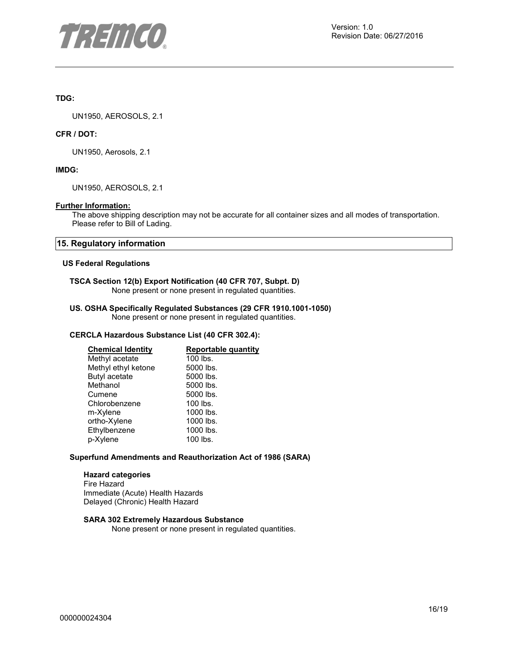

## **TDG:**

UN1950, AEROSOLS, 2.1

#### **CFR / DOT:**

UN1950, Aerosols, 2.1

#### **IMDG:**

UN1950, AEROSOLS, 2.1

#### **Further Information:**

The above shipping description may not be accurate for all container sizes and all modes of transportation. Please refer to Bill of Lading.

#### **15. Regulatory information**

#### **US Federal Regulations**

# **TSCA Section 12(b) Export Notification (40 CFR 707, Subpt. D)**

None present or none present in regulated quantities.

#### **US. OSHA Specifically Regulated Substances (29 CFR 1910.1001-1050)**  None present or none present in regulated quantities.

#### **CERCLA Hazardous Substance List (40 CFR 302.4):**

| <b>Chemical Identity</b> | <b>Reportable quantity</b> |
|--------------------------|----------------------------|
| Methyl acetate           | 100 lbs.                   |
| Methyl ethyl ketone      | 5000 lbs.                  |
| <b>Butyl acetate</b>     | 5000 lbs.                  |
| Methanol                 | 5000 lbs.                  |
| Cumene                   | 5000 lbs.                  |
| Chlorobenzene            | 100 lbs.                   |
| m-Xylene                 | 1000 lbs.                  |
| ortho-Xylene             | 1000 lbs.                  |
| Ethylbenzene             | 1000 lbs.                  |
| p-Xylene                 | 100 lbs.                   |
|                          |                            |

#### **Superfund Amendments and Reauthorization Act of 1986 (SARA)**

#### **Hazard categories**

Fire Hazard Immediate (Acute) Health Hazards Delayed (Chronic) Health Hazard

#### **SARA 302 Extremely Hazardous Substance**

None present or none present in regulated quantities.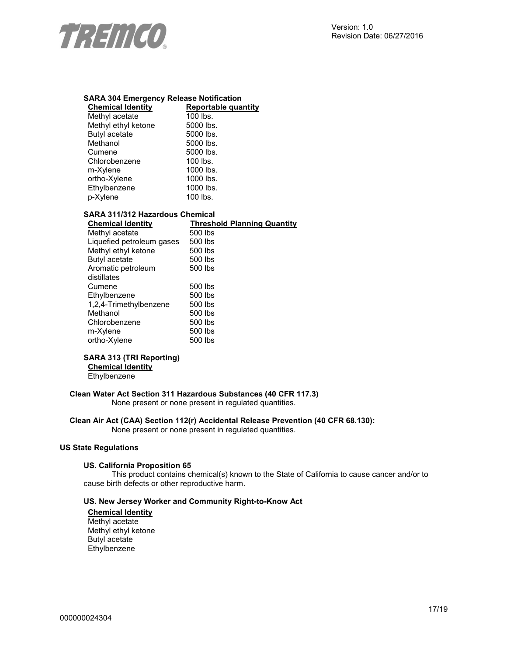

# **SARA 304 Emergency Release Notification**

| <b>Chemical Identity</b> | <b>Reportable quantity</b> |
|--------------------------|----------------------------|
| Methyl acetate           | 100 lbs.                   |
| Methyl ethyl ketone      | 5000 lbs.                  |
| <b>Butyl acetate</b>     | 5000 lbs.                  |
| Methanol                 | 5000 lbs.                  |
| Cumene                   | 5000 lbs.                  |
| Chlorobenzene            | 100 lbs.                   |
| m-Xylene                 | 1000 lbs.                  |
| ortho-Xylene             | 1000 lbs.                  |
| Ethylbenzene             | 1000 lbs.                  |
| p-Xylene                 | 100 lbs.                   |

# **SARA 311/312 Hazardous Chemical**

**Threshold Planning Quantity** 500 lbs Methyl acetate Liquefied petroleum gases 500 lbs Methyl ethyl ketone 500 lbs Butyl acetate 500 lbs Aromatic petroleum distillates 500 lbs Cumene 500 lbs Ethylbenzene 500 lbs<br>1,2,4-Trimethylbenzene 500 lbs 1,2,4-Trimethylbenzene 500 lbs<br>Methanol 500 lbs Methanol 500 lbs<br>Chlorobenzene 500 lbs Chlorobenzene 500 lbs<br>m-Xylene 500 lbs m-Xylene 500 lbs<br>ortho-Xylene 500 lbs ortho-Xylene

## **SARA 313 (TRI Reporting)**

**Chemical Identity**

Ethylbenzene

# **Clean Water Act Section 311 Hazardous Substances (40 CFR 117.3)**

None present or none present in regulated quantities.

## **Clean Air Act (CAA) Section 112(r) Accidental Release Prevention (40 CFR 68.130):**

None present or none present in regulated quantities.

#### **US State Regulations**

#### **US. California Proposition 65**

This product contains chemical(s) known to the State of California to cause cancer and/or to cause birth defects or other reproductive harm.

#### **US. New Jersey Worker and Community Right-to-Know Act**

**Chemical Identity** Methyl acetate Methyl ethyl ketone Butyl acetate Ethylbenzene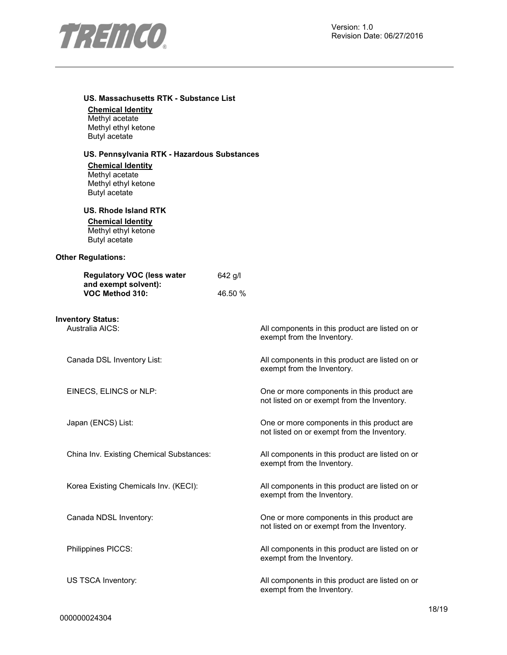

|  | US. Massachusetts RTK - Substance List |  |  |  |
|--|----------------------------------------|--|--|--|
|--|----------------------------------------|--|--|--|

**Chemical Identity**

Methyl acetate Methyl ethyl ketone Butyl acetate

## **US. Pennsylvania RTK - Hazardous Substances**

**Chemical Identity** Methyl acetate Methyl ethyl ketone Butyl acetate

#### **US. Rhode Island RTK**

**Chemical Identity**

Methyl ethyl ketone Butyl acetate

#### **Other Regulations:**

| <b>Regulatory VOC (less water</b> | 642 g/l |
|-----------------------------------|---------|
| and exempt solvent):              |         |
| VOC Method 310:                   | 46.50 % |

# **Inventory Status:**

All components in this product are listed on or exempt from the Inventory.

Canada DSL Inventory List: All components in this product are listed on or exempt from the Inventory.

EINECS, ELINCS or NLP: One or more components in this product are not listed on or exempt from the Inventory.

Japan (ENCS) List: One or more components in this product are not listed on or exempt from the Inventory.

China Inv. Existing Chemical Substances: All components in this product are listed on or exempt from the Inventory.

Korea Existing Chemicals Inv. (KECI): All components in this product are listed on or exempt from the Inventory.

Canada NDSL Inventory: One or more components in this product are not listed on or exempt from the Inventory.

Philippines PICCS: All components in this product are listed on or exempt from the Inventory.

US TSCA Inventory: **All components in this product are listed on or** All components in this product are listed on or exempt from the Inventory.